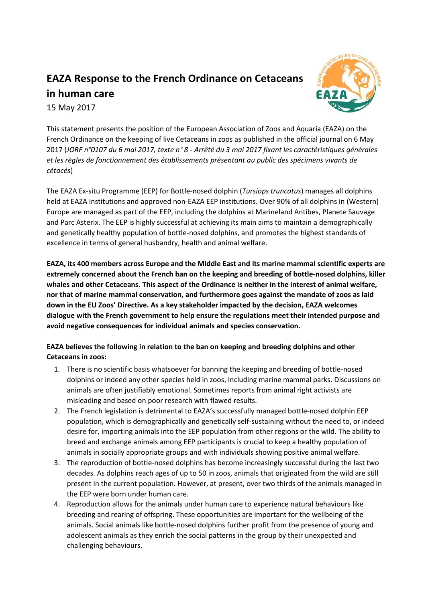# **EAZA Response to the French Ordinance on Cetaceans**



## **in human care**

15 May 2017

This statement presents the position of the European Association of Zoos and Aquaria (EAZA) on the French Ordinance on the keeping of live Cetaceans in zoos as published in the official journal on 6 May 2017 (*JORF n°0107 du 6 mai 2017, texte n° 8 - Arrêté du 3 mai 2017 fixant les caractéristiques générales et les règles de fonctionnement des établissements présentant au public des spécimens vivants de cétacés*)

The EAZA Ex-situ Programme (EEP) for Bottle-nosed dolphin (*Tursiops truncatus*) manages all dolphins held at EAZA institutions and approved non-EAZA EEP institutions. Over 90% of all dolphins in (Western) Europe are managed as part of the EEP, including the dolphins at Marineland Antibes, Planete Sauvage and Parc Asterix. The EEP is highly successful at achieving its main aims to maintain a demographically and genetically healthy population of bottle-nosed dolphins, and promotes the highest standards of excellence in terms of general husbandry, health and animal welfare.

**EAZA, its 400 members across Europe and the Middle East and its marine mammal scientific experts are extremely concerned about the French ban on the keeping and breeding of bottle-nosed dolphins, killer whales and other Cetaceans. This aspect of the Ordinance is neither in the interest of animal welfare, nor that of marine mammal conservation, and furthermore goes against the mandate of zoos as laid down in the EU Zoos' Directive. As a key stakeholder impacted by the decision, EAZA welcomes dialogue with the French government to help ensure the regulations meet their intended purpose and avoid negative consequences for individual animals and species conservation.**

### **EAZA believes the following in relation to the ban on keeping and breeding dolphins and other Cetaceans in zoos:**

- 1. There is no scientific basis whatsoever for banning the keeping and breeding of bottle-nosed dolphins or indeed any other species held in zoos, including marine mammal parks. Discussions on animals are often justifiably emotional. Sometimes reports from animal right activists are misleading and based on poor research with flawed results.
- 2. The French legislation is detrimental to EAZA's successfully managed bottle-nosed dolphin EEP population, which is demographically and genetically self-sustaining without the need to, or indeed desire for, importing animals into the EEP population from other regions or the wild. The ability to breed and exchange animals among EEP participants is crucial to keep a healthy population of animals in socially appropriate groups and with individuals showing positive animal welfare.
- 3. The reproduction of bottle-nosed dolphins has become increasingly successful during the last two decades. As dolphins reach ages of up to 50 in zoos, animals that originated from the wild are still present in the current population. However, at present, over two thirds of the animals managed in the EEP were born under human care.
- 4. Reproduction allows for the animals under human care to experience natural behaviours like breeding and rearing of offspring. These opportunities are important for the wellbeing of the animals. Social animals like bottle-nosed dolphins further profit from the presence of young and adolescent animals as they enrich the social patterns in the group by their unexpected and challenging behaviours.